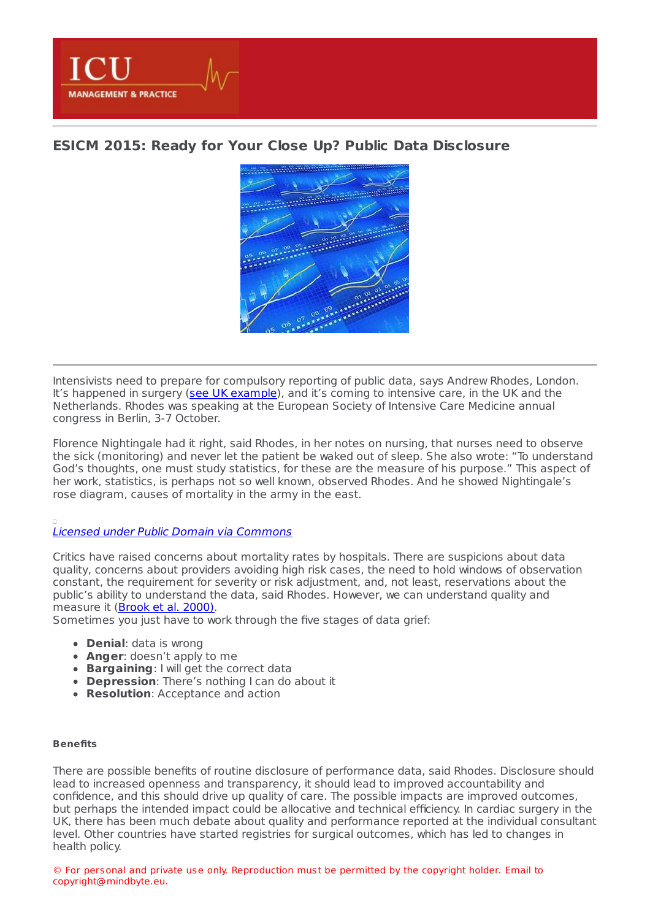

# **ESICM 2015: Ready for Your Close Up? Public Data [Disclosure](https://healthmanagement.org/s/esicm-2015-ready-for-your-close-up-public-data-disclosure)**



Intensivists need to prepare for compulsory reporting of public data, says Andrew Rhodes, London. It's happened in surgery (see UK [example](https://www.nhs.uk/service-search/performance/Consultants)), and it's coming to intensive care, in the UK and the Netherlands. Rhodes was speaking at the European Society of Intensive Care Medicine annual congress in Berlin, 3-7 October.

Florence Nightingale had it right, said Rhodes, in her notes on nursing, that nurses need to observe the sick (monitoring) and never let the patient be waked out of sleep. She also wrote: "To understand God's thoughts, one must study statistics, for these are the measure of his purpose." This aspect of her work, statistics, is perhaps not so well known, observed Rhodes. And he showed Nightingale's rose diagram, causes of mortality in the army in the east.

## Licensed under Public Domain via [Commons](file:///usr/home/healtg/.tmp/ https://commons.wikimedia.org/wiki/File:Nightingale-mortality.jpg#/media/File:Nightingale-mortality.jpg)

Critics have raised concerns about mortality rates by hospitals. There are suspicions about data quality, concerns about providers avoiding high risk cases, the need to hold windows of observation constant, the requirement for severity or risk adjustment, and, not least, reservations about the public's ability to understand the data, said Rhodes. However, we can understand quality and measure it [\(Brook](http://www.ncbi.nlm.nih.gov/pubmed/10985266) et al. 2000).

Sometimes you just have to work through the five stages of data grief:

- **Denial**: data is wrong
- **Anger**: doesn't apply to me
- **Bargaining**: I will get the correct data
- **Depression**: There's nothing I can do about it
- **Resolution**: Acceptance and action

### **Benefits**

There are possible benefits of routine disclosure of performance data, said Rhodes. Disclosure should lead to increased openness and transparency, it should lead to improved accountability and confidence, and this should drive up quality of care. The possible impacts are improved outcomes, but perhaps the intended impact could be allocative and technical efficiency. In cardiac surgery in the UK, there has been much debate about quality and performance reported at the individual consultant level. Other countries have started registries for surgical outcomes, which has led to changes in health policy.

© For personal and private use only. Reproduction must be permitted by the copyright holder. Email to copyright@mindbyte.eu.